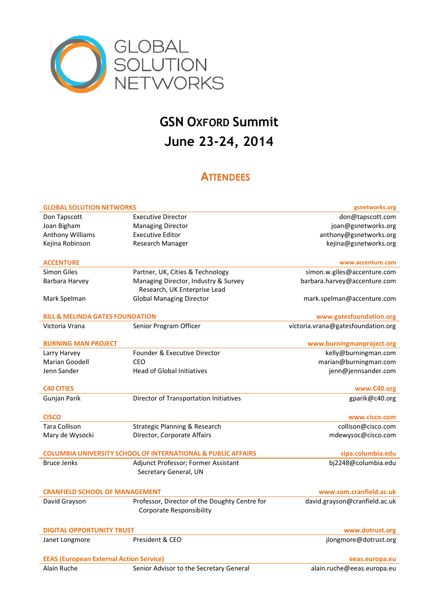

## **GSN OXFORD Summit June 23-24, 2014**

## **ATTENDEES**

| <b>GLOBAL SOLUTION NETWORKS</b>                                         |                                                                      | gsnetworks.org                     |  |  |
|-------------------------------------------------------------------------|----------------------------------------------------------------------|------------------------------------|--|--|
| Don Tapscott                                                            | <b>Executive Director</b>                                            | don@tapscott.com                   |  |  |
| Joan Bigham                                                             | <b>Managing Director</b>                                             | joan@gsnetworks.org                |  |  |
| Anthony Williams                                                        | <b>Executive Editor</b>                                              | anthony@gsnetworks.org             |  |  |
| Kejina Robinson                                                         | Research Manager                                                     | kejina@gsnetworks.org              |  |  |
|                                                                         |                                                                      |                                    |  |  |
| <b>ACCENTURE</b>                                                        |                                                                      | www.accenture.com                  |  |  |
| <b>Simon Giles</b>                                                      | Partner, UK, Cities & Technology                                     | simon.w.giles@accenture.com        |  |  |
| Barbara Harvey                                                          | Managing Director, Industry & Survey<br>Research, UK Enterprise Lead | barbara.harvey@accenture.com       |  |  |
| Mark Spelman                                                            | <b>Global Managing Director</b>                                      | mark.spelman@accenture.com         |  |  |
|                                                                         |                                                                      |                                    |  |  |
| <b>BILL &amp; MELINDA GATES FOUNDATION</b>                              |                                                                      | www.gatesfoundation.org            |  |  |
| Victoria Vrana                                                          | Senior Program Officer                                               | victoria.vrana@gatesfoundation.org |  |  |
|                                                                         |                                                                      |                                    |  |  |
| <b>BURNING MAN PROJECT</b>                                              |                                                                      | www.burningmanproject.org          |  |  |
| Larry Harvey                                                            | Founder & Executive Director                                         | kelly@burningman.com               |  |  |
| Marian Goodell                                                          | CEO                                                                  | marian@burningman.com              |  |  |
| Jenn Sander                                                             | <b>Head of Global Initiatives</b>                                    | jenn@jennsander.com                |  |  |
|                                                                         |                                                                      |                                    |  |  |
| <b>C40 CITIES</b>                                                       |                                                                      | www.C40.org                        |  |  |
| Gunjan Parik                                                            | Director of Transportation Initiatives                               | gparik@c40.org                     |  |  |
|                                                                         |                                                                      |                                    |  |  |
| <b>CISCO</b>                                                            |                                                                      | www.cisco.com                      |  |  |
| Tara Collison                                                           | <b>Strategic Planning &amp; Research</b>                             | collison@cisco.com                 |  |  |
| Mary de Wysocki                                                         | Director, Corporate Affairs                                          | mdewysoc@cisco.com                 |  |  |
|                                                                         |                                                                      |                                    |  |  |
| <b>COLUMBIA UNIVERSITY SCHOOL OF INTERNATIONAL &amp; PUBLIC AFFAIRS</b> |                                                                      | sipa.columbia.edu                  |  |  |
| <b>Bruce Jenks</b>                                                      | Adjunct Professor; Former Assistant                                  | bj2248@columbia.edu                |  |  |
|                                                                         | Secretary General, UN                                                |                                    |  |  |
|                                                                         |                                                                      |                                    |  |  |
| <b>CRANFIELD SCHOOL OF MANAGEMENT</b>                                   |                                                                      | www.som.cranfield.ac.uk            |  |  |
| David Grayson                                                           | Professor, Director of the Doughty Centre for                        | david.grayson@cranfield.ac.uk      |  |  |
|                                                                         | <b>Corporate Responsibility</b>                                      |                                    |  |  |
|                                                                         |                                                                      |                                    |  |  |
| <b>DIGITAL OPPORTUNITY TRUST</b>                                        |                                                                      | www.dotrust.org                    |  |  |
| Janet Longmore                                                          | President & CEO                                                      | jlongmore@dotrust.org              |  |  |
|                                                                         |                                                                      |                                    |  |  |
| <b>EEAS (European External Action Service)</b><br>eeas.europa.eu        |                                                                      |                                    |  |  |
| Alain Ruche                                                             | Senior Advisor to the Secretary General                              | alain.ruche@eeas.europa.eu         |  |  |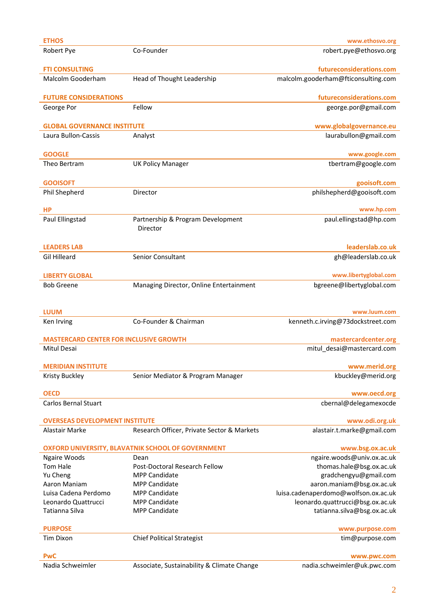| <b>ETHOS</b>                                                          |                                               | www.ethosvo.org                      |  |  |
|-----------------------------------------------------------------------|-----------------------------------------------|--------------------------------------|--|--|
| Robert Pye                                                            | Co-Founder                                    | robert.pye@ethosvo.org               |  |  |
| <b>FTI CONSULTING</b>                                                 |                                               | futureconsiderations.com             |  |  |
| Malcolm Gooderham                                                     | Head of Thought Leadership                    | malcolm.gooderham@fticonsulting.com  |  |  |
| <b>FUTURE CONSIDERATIONS</b>                                          |                                               | futureconsiderations.com             |  |  |
| George Por                                                            | Fellow                                        | george.por@gmail.com                 |  |  |
|                                                                       |                                               |                                      |  |  |
| <b>GLOBAL GOVERNANCE INSTITUTE</b>                                    |                                               | www.globalgovernance.eu              |  |  |
| Laura Bullon-Cassis                                                   | Analyst                                       | laurabullon@gmail.com                |  |  |
| <b>GOOGLE</b>                                                         |                                               | www.google.com                       |  |  |
| Theo Bertram                                                          | <b>UK Policy Manager</b>                      | tbertram@google.com                  |  |  |
| <b>GOOISOFT</b>                                                       |                                               | gooisoft.com                         |  |  |
| Phil Shepherd                                                         | Director                                      | philshepherd@gooisoft.com            |  |  |
|                                                                       |                                               |                                      |  |  |
| <b>HP</b>                                                             |                                               | www.hp.com                           |  |  |
| Paul Ellingstad                                                       | Partnership & Program Development<br>Director | paul.ellingstad@hp.com               |  |  |
| <b>LEADERS LAB</b>                                                    |                                               | leaderslab.co.uk                     |  |  |
| <b>Gil Hilleard</b>                                                   | Senior Consultant                             | gh@leaderslab.co.uk                  |  |  |
| <b>LIBERTY GLOBAL</b>                                                 |                                               | www.libertyglobal.com                |  |  |
| <b>Bob Greene</b>                                                     | Managing Director, Online Entertainment       | bgreene@libertyglobal.com            |  |  |
|                                                                       |                                               |                                      |  |  |
| <b>LUUM</b>                                                           |                                               | www.luum.com                         |  |  |
| Ken Irving                                                            | Co-Founder & Chairman                         | kenneth.c.irving@73dockstreet.com    |  |  |
| <b>MASTERCARD CENTER FOR INCLUSIVE GROWTH</b>                         |                                               | mastercardcenter.org                 |  |  |
| Mitul Desai                                                           |                                               | mitul_desai@mastercard.com           |  |  |
| <b>MERIDIAN INSTITUTE</b>                                             |                                               | www.merid.org                        |  |  |
| Kristy Buckley                                                        | Senior Mediator & Program Manager             | kbuckley@merid.org                   |  |  |
| <b>OECD</b>                                                           |                                               | www.oecd.org                         |  |  |
| <b>Carlos Bernal Stuart</b>                                           |                                               | cbernal@delegamexocde                |  |  |
| <b>OVERSEAS DEVELOPMENT INSTITUTE</b>                                 |                                               | www.odi.org.uk                       |  |  |
| Alastair Marke                                                        | Research Officer, Private Sector & Markets    | alastair.t.marke@gmail.com           |  |  |
| OXFORD UNIVERSITY, BLAVATNIK SCHOOL OF GOVERNMENT<br>www.bsg.ox.ac.uk |                                               |                                      |  |  |
| Ngaire Woods                                                          | Dean                                          | ngaire.woods@univ.ox.ac.uk           |  |  |
| Tom Hale                                                              | Post-Doctoral Research Fellow                 | thomas.hale@bsg.ox.ac.uk             |  |  |
| Yu Cheng                                                              | <b>MPP Candidate</b>                          | gradchengyu@gmail.com                |  |  |
| Aaron Maniam                                                          | <b>MPP Candidate</b>                          | aaron.maniam@bsg.ox.ac.uk            |  |  |
| Luisa Cadena Perdomo                                                  | <b>MPP Candidate</b>                          | luisa.cadenaperdomo@wolfson.ox.ac.uk |  |  |
| Leonardo Quattrucci                                                   | <b>MPP Candidate</b>                          | leonardo.quattrucci@bsg.ox.ac.uk     |  |  |
| Tatianna Silva                                                        | <b>MPP Candidate</b>                          | tatianna.silva@bsg.ox.ac.uk          |  |  |
| <b>PURPOSE</b>                                                        |                                               | www.purpose.com                      |  |  |
| <b>Tim Dixon</b>                                                      | <b>Chief Political Strategist</b>             | tim@purpose.com                      |  |  |
| <b>PwC</b>                                                            |                                               | www.pwc.com                          |  |  |
| Nadia Schweimler                                                      | Associate, Sustainability & Climate Change    | nadia.schweimler@uk.pwc.com          |  |  |